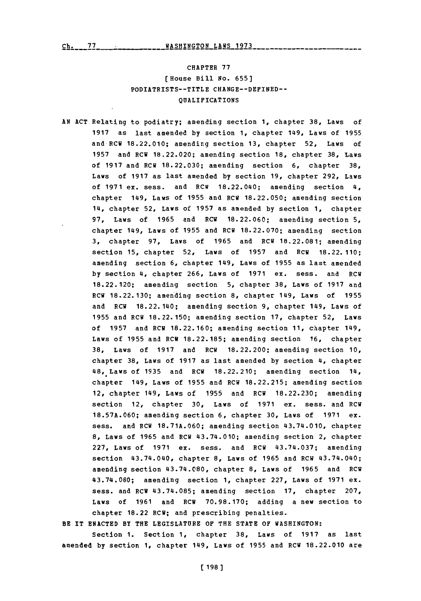## CHAPTER **77** (House Bill No. **655]** PODIATRISTS--TITLE **CHANGE--DEFINED-- QUALIFICATIONS**

**AN ACT** Relating to podiatry; amending section **1,** chapter **38,** Laws of **<sup>1917</sup>**as last amended **by** section **1,** chapter 149, Laws of **<sup>1955</sup>** and RCW 18.22.010; amending section 13, chapter 52, Laws of **1957** and RCW **18.22.020;** amending section **18,** chapter **38,** Laws of **1917** and RCW **18.22.030;** amending section **6,** chapter **38,** Laws of **1917** as last amended **by** section **19,** chapter **292,** Laws of **1971** ex. sess. and RCW 18.22.040; amending section 4, chapter 149, Laws of **1955** and RCW **18.22.050;** amending section 14, chapter 52, Laws of **1957** as amended **by** section **1,** chapter **97,** Laws of **1965** and RCW **18.22.060;** amending section **5,** chapter 149, Laws of **1955** and RCW **18.22.070;** amending section **3,** chapter **97,** Laws of **1965** and RCW **18.22.081;** amending section **15,** chapter **52,** Laws of **1957** and RCW 18.22.110; amending section **6,** chapter 149, Laws of **1955** as last amended **by** section 4, chapter **266,** Laws of **1971** ex. sess. and RCW **18.22.120;** amending section **5,** chapter **38,** Laws of **1917** and **RCW 18.22.130;** amending section **8,** chapter 149, Laws of **1955** and RCW 18.22.140; amending section **9,** chapter 149, Laws of **1955** and RCII **18.22. 150;** amending section **17,** chapter **52,** Laws of **1957** and RCW **18.22. 160;** amending section **11,** chapter 149, Laws of **1955** and RCW **18.22.185;** amending section **16,** chapter **38,** Laws of **1917** and RCW **18.22.200;** amending section **10,** chapter **38,** Laws of **1917** as last amended **by** section 4, chapter 48, Laws of **1935** and RCW **18.22.210;** amending section 14, chapter 149, Laws of **1955** and RCW **18.22.215;** amending section 12, chapter 149, Laws of **1955** and RCW **18.22.230;** amending section 12, chapter **30,** Laws of **1971** ex. sess. and RCW **18.57A.660;** amending section **6,** chapter **30,** Laws of **1971** ex. sess. and RCW **18.71A.060;** amending section 43.74.010, chapter **8,** Laws of **1965** and RCW 43.74.010; amending section 2, chapter **227,** Laws of **1971** ex. sess. and RCW 43.74.037; amending section 43.74.040, chapter **8,** Laws of **1965** and RCW 43.74.040; amending section 43.74.080, chapter **8,** Laws of **1965** and RCW 43.74.080; amending section **1,** chapter **227,** Laws of **1971** ex. sess. and RCW 43.74.085; amending section **17,** chapter **207,** Laws of **1961** and RCW **70.98.170;** adding a new section to chapter **18.22** RCW; and prescribing penalties.

BE IT **ENACTED** BY **THE** LEGISLATURE **OF** THE **STATE** OF WASHINGTON:

Section **1.** Section **1,** chapter **38,** Laws of **1917** as last amended **by** section **1,** chapter 149, Laws of **1955** and RCW **18.22.010** are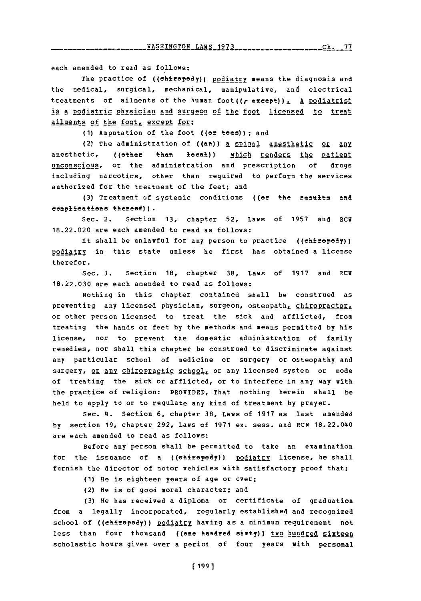<u>LLWASHINGTON\_LAWS\_1973\_\_\_\_\_\_\_\_\_\_\_\_\_\_\_\_\_\_\_\_\_Ch.\_\_77\_</u>

each amended to read as follows:

The practice of ((chiropody)) podiatry means the diagnosis and the medical, surgical, mechanical, manipulative, and electrical treatments of ailments of the human foot((r except)). A podiatrist is a podiatric physician and surgeon of the foot licensed to treat ailments of the foot, except for:

**(1)** Amputation of the foot ((or toes)); and

(2) The administration of ((an)) a spinal anesthetic or any anesthetic, ((other than local)) which renders the patient unconscious, or the administration and prescription of drugs including narcotics, other than reguired to perform the services authorized for the treatment of the feet; and

**(3)** Treatment of systemic conditions ((or the reselts antd complications thereof)).

Sec. 2. Section **13,** chapter **52,** Laws of **1957** and RCW **18.22.020** are each amended to read as follows:

It shall be unlawful for any person to practice ((chiropody)) podiatry in this state unless he first has obtained a license therefor.

Sec. **3.** Section **18,** chapter **38,** Laws of **1917** and RCW **18.22.030** are each amended to read as follows:

Nothing in this chapter contained shall be construed as preventing any licensed physician, surgeon, osteopath, chiropractor, or other person licensed to treat the sick and afflicted, from treating the hands or feet **by** the methods and means permitted **by** his license, nor to prevent the domestic administration of family remedies, nor shall this chapter be construed to discriminate against any particular school of medicine or surgery or osteopathy and surgery, or any chiropractic school, or any licensed system or mode of treating the sick or afflicted, or to interfere in any way with the practice of religion: PROVIDED, That nothing herein shall be held to apply to or to regulate any kind of treatment **by** prayer.

Sec. 4I. Section **6,** chapter **38,** Laws of **1917** as last amended **by** section **19,** chapter **292,** Laws of **1971** ex. sess. and RCW 18.22.040 are each amended to read as follows:

Before any person shall be permitted to take an examination for the issuance of a ((chiropody)) podiatry license, he shall furnish the director of motor vehicles with satisfactory proof that:

- **(1)** He is eighteen years of age or over;
- (2) He is of good moral character; and

**(3)** He has received a diploma or certificate of graduation from a legally incorporated, regularly established and recognized school of ((chiropody)) podiatry having as a minimum requirement not less than four thousand ((one hundred sixty)) two hundred sixteen scholastic hours given over a period of four years with personal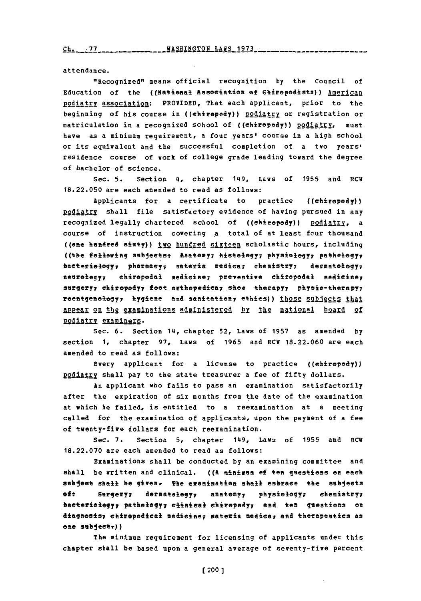attendance.

"Recognized" means official recognition **by** the Council of Education of the ((National Asseelation **Of** Shireedists)) American podiatry association: PROVIDED, That each applicant, prior to the beginning of his course in ((ehiropody)) podiatry or registration or matriculation in a recognized school of ((chiropedy)) podiatry, must have as a minimum requirement, a four years' course in a high school or its equivalent and the successful completion of a two years' residence course of work of college grade leading toward the degree of bachelor of science.

Sec. **5.** Section 4, chapter 149, Laws of **1955** and RCH **18.22.050** are each amended to read as follows:

Applicants for a certificate to practice ((ehirepody)) podiatry shall file satisfactory evidence of having pursued in any recognized legally chartered school of ((chiropody)) podiatry, a course of instruction covering a total of at least four thousand ((one hundred sixty)) two hundred sixteen scholastic hours, including ((the following subjects: Anatomy; histology; physiology; pathology; baeterielegy; pharmacy; materia medica; chemistry; dermatelegy; neurology; chiropodal medicine; preventive chiropodal medicine; surgery; chiropody; foot orthopedica; shoe therapy; physio-therapy; reentgenelegy, hygiene and sanitatien, ethics)) those subjects that APRer on **the** examinations administered **by** the ational board of **podiatry examiners.** 

Sec. **6.** Section 14, chapter 52, Laws of **1957** as amended **by** section **1,** chapter **97,** Laws of **1965** and RCW **18.22.060** are each amended to read as follows:

Every applicant for a license to practice ((ehirepody)) podiatry shall pay to the state treasurer a fee of fifty dollars.

An applicant who fails to pass an examination satisfactorily after the expiration of six months from the date of the examination at which he failed, is entitled to a reexamination at a meeting called for the examination of applicants, upon the payment of a fee of twenty-five dollars for each reexamination.

Sec. **7.** Section **5,** chapter 149, Laws of **1955** and RCW **18.22.070** are each amended to read as follows:

Examinations shall be conducted **by** an examining committee and shall be written and clinical. **((A** sinian **of** ten questions on each subject shall be givear The examination shall embrace the subjects of: Surgery; dermatology; anatomy; physiology; chemistry; bacteriology; pathology; clinical chiropody; and ten questions on diagnesisy chirepedical mediciney sateria medicay **and** therapeuties as **one subjectr))**

The minimum requirement for licensing of applicants under this chapter shall be based upon a general average of seventy-five percent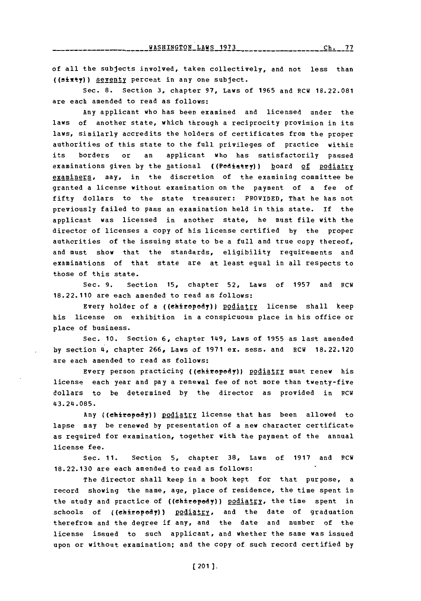**Ch, 77** 

of all the subjects involved, taken collectively, and not less than  $((sixty))$  seventy percent in any one subject.

Sec. **8.** Section **3,** chapter **97,** Laws of **1965** and RCW **18.22.081** are each amended to read as follows:

Any applicant who has been examined and licensed under the laws of another state, which through a reciprocity provision in its laws, similarly accredits the holders of certificates from the proper authorities of this state to the full privileges of practice within its borders or an applicant who has satisfactorily passed examinations given by the national ((Podiatry)) hoard of podiatry examiners, may, in the discretion of the examining committee be granted a license without examination on the payment of a fee of fifty dollars to the state treasurer: PROVIDED, That he has not previously failed to pass an examination held in this state. **If** the applicant was licensed in another state, he must file with the director of licenses a copy of his license certified **by** the proper authorities of the issuing state to be a full and true copy thereof, and must show that the standards, eligibility requirements and examinations of that state are at least equal in all respects to those of this state.

Sec. **9.** Section **15,** chapter **52,** Laws of **1957** and RCW **18.22.110** are each amended to read as follows:

Every holder of a ((ehiropody)) podiatry license shall keep his license on exhibition in a conspicuous place in his office or place of business.

Sec. **10.** Section **6,** chapter 149, Laws of **1955** as last amended **by** section 4, chapter **266,** Laws of **1971** ex. sess. and RCW **18.22.120** are each amended to read as follows:

Every person practicing ((chiropody)) podiatry must renew his license each year and pay a renewal fee of not more than twenty-five dollars to be determined **by** the director as provided in RCW 43.24.085.

Any ((chirepedy)) podiatry license that has been allowed to lapse may be renewed **by** presentation of a new character certificate as required for examination, together with the payment of the annual license fee.

Sec. **11.** Section **5,** chapter **38,** Laws of **1917** and RCW **18.22.130** are each amended to read as follows:

The director shall keep in a book kept for that purpose, a record showing the name, age, place of residence, the time spent in the study and practice of ((chiropody)) podiatry, the time spent in schools of ((chiropody)) podiatry, and the date of graduation therefrom and the degree if any, and the date and number of the license issued to such applicant, and whether the same was issued upon or without examination; and the copy of such record certified **by**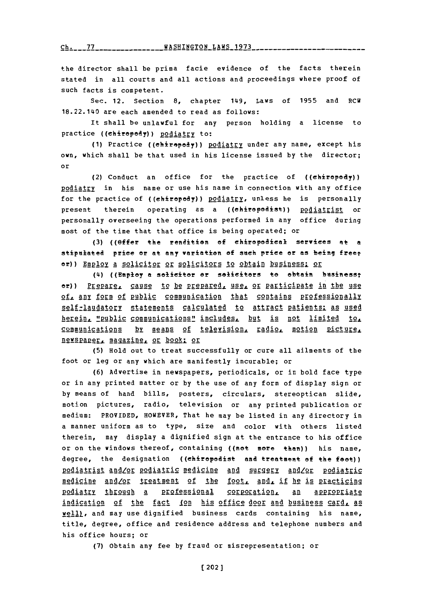Ch. 77 \_\_\_\_\_\_\_\_\_\_\_\_\_\_ WASHINGTON LAWS 1973

the director shall be prima facie evidence of the facts therein stated in all courts and all actions and proceedings vhere proof of such facts is competent.

Sec. 12. Section **8,** chapter 149, Laws of **1955** and Rcw 18.22.140 are each amended to read as follows:

It shall be unlawful for any person holding a license to practice ((chiropody)) podiatry to:

(1) Practice ((chiropedy)) podiatry under any name, except his own, which shall be that used in his license issued **by** the director; or

(2) Conduct an office for the practice of ((chiropody)) podiatry in his name or use his name in connection with any office for the practice of ((chiropody)) podiatry, unless he is personally present therein operating as a ((chiropodist)) podiatrist or personally overseeing the operations performed in any office during most of the time that that office is being operated; or

**(3)** ((effer the rendition **of** ehieodieel services at a stipulated price or at any variation **ef** such price or as being freef or)) Employ a solicitor or solicitors to obtain business: or

(4) ((Employ **a** solicitor er solicitors to obtain besinesst or)) Prepare, cause to be prepared, use, or participate in the use **2f.L ARY f2EM 2f** R1bi communication that contains prfgeionally self-laudatory statements calculated to attract patients: as used herein, "public communications" includes, but is not limited to, **communications by means of television, radio, motion picture,** newspaper, magazine, or book: or

**(5)** Hold out to treat successfully or cure all ailments of the foot or leg or any which are manifestly incurable; or

**(6)** Advertise in newspapers, periodicals, or in bold face type or in any printed matter or **by** the use of any form of display sign or **by** means of hand bills, posters, circulars, stereoptican slide, motion pictures, radio, television or any printed publication or medium: PROVIDED, HOWEVER, That he may be listed in any directory in a manner uniform as to type, size and color with others listed therein, may display a dignified sign at the entrance to his office or on the windows thereof, containing ((not more than)) his name, degree, the designation ((chiropodist and treatment **of** the foot)) podiatrist and/or podiatric medicine and surgery and/or podiatric medicine and/or treatment of the foot, and, if he is practicing podiatry through a professional corporation, an appropriate indication of the fact (on his office door and business card, as **well)**, and may use dignified business cards containing his name, title, degree, office and residence address and telephone numbers and his office hours; or

**(7)** obtain any fee **by** fraud or misrepresentation; or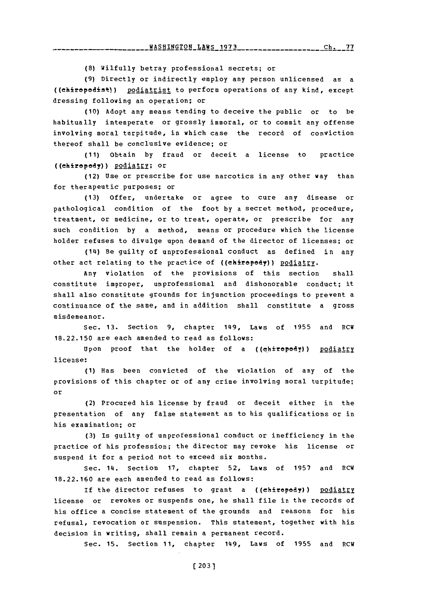<u>WASHINGTON LAWS 1973</u>  $\frac{ch_{1}}{2}$   $\frac{ch_{1}}{2}$ 

**(8)** Wilfully betray professional secrets; or

**(9)** Directly or indirectly employ any person unlicensed as a ((chiropodist)) podiatrist to perform operations of any kind, except dressing following an operation; or

**(10)** Adopt any means tending to deceive the public or to be habitually intemperate or grossly immoral, or to commit any offense involving moral turpitude, in which case the record of conviction thereof shall be conclusive evidence; or

**(11)** Obtain **by** fraud or deceit a license to practice ((chiropedy)) podiatry; or

(12) Use or prescribe for use narcotics in any other way than for therapeutic purposes; or

**(13)** Offer, undertake or agree to cure any disease or pathological condition of the foot **by** a secret method, procedure, treatment, or medicine, or to treat, operate, or prescribe for any such condition **by** a method, means or procedure which the license holder refuses to divulge upon demand of the director of licenses; or

(14) Be guilty of unprofessional conduct as defined in any other act relating to the practice of ((chiropedy))  $\frac{policyry}{.}$ 

Any violation of the provisions of this section shall constitute improper, unprofessional and dishonorable conduct; it shall also constitute grounds for injunction proceedings to prevent a continuance of the same, and in addition shall constitute a gross misdemeanor.

Sec. **13.** Section **9,** chapter 149, Laws of **1955** and RCW **18.22.150** are each amended to read as follows:

Upon proof that the holder of a ((chiropody)) podiatry license:

**(1)** Has been convicted of the violation of any of the provisions of this chapter or of any crime involving moral turpitude; or

(2) Procured his license **by** fraud or deceit either in the presentation of any false statement as to his qualifications or in his examination; or

**(3)** Is guilty of unprofessional conduct or inefficiency in the practice of his profession; the director may revoke his license or suspend it for a period not to exceed six months.

Sec. 14. Section **17,** chapter **52,** Laws of **1957** and RCW **18.22.160** are each amended to read as follows:

If the director refuses to grant a ((chiropody)) podiatry license or revokes or suspends one, he shall file in the records of his office a concise statement of the grounds and reasons for his refusal, revocation or suspension. This statement, together with his decision in writing, shall remain a permanent record.

Sec. **15.** Section **11,** chapter 149, Laws of **1955** and RCW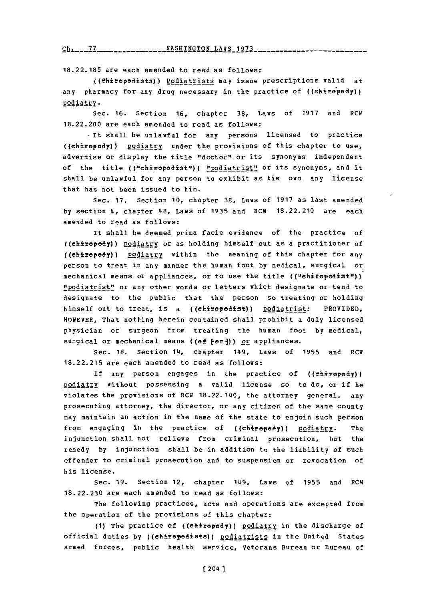## ch.- **\* WA--O** LAW 1973 **--- ---- --- --**

**18.22.185** are each amended to read as follows:

((Chiropodists)) Podiatrists may issue prescriptions valid at any pharmacy for any drug necessary in the practice **of** ((ehirepedy')) podiatry.

Sec. **16.** Section **16,** chapter **38,** Laws **of 1917** and RCW **18.22.200** are each amended to read as follows:

It shall be unlawful for any persons licensed to practice ((chiropedy)) podiatry under the provisions of this chapter to use, advertise or display the title "doctor" or its synonyms independent of the title (("chiropodist")) "podiatrist" or its synonyms, and it shall be unlawful for any person to exhibit as his own any license that has not been issued to him.

Sec. **17.** Section **10,** chapter **38,** Laws of **1917** as last amended **by** section 4, chapter 48, Laws of **1935** and RCW **18.22.210** are each amended to read as follows:

It shall be deemed prima facie evidence of the practice of ((chiropody)) podiatry or as holding himself out as a practitioner of ((chiropody)) **podiatry** within the meaning of this chapter for any person to treat in any manner the human foot **by** medical, surgical or mechanical means or appliances, or to use the title **((uchiropadistu))** "Podiatrist" or any other words or letters which designate or tend to designate to the public that the person so treating or holding himself out to treat, is a ((chiropodist)) podiatrist: PROVIDED, HOWEVER, That nothing herein contained shall prohibit a duly licensed physician or surgeon from treating the human foot **by** medical, surgical or mechanical means ((of  $f$ or])) or appliances.

Sec. **18.** Section 14, chapter 149, Laws of **1955** and RCW **18.22.215** are each amended to read as follows:

If any person engages in the practice of  $((\n \text{chirepody}))$ podiatry without possessing a valid license so to do, or if he violates the provisions of RCW 18.22.140, the attorney general, any prosecuting attorney, the director, or any citizen of the same county may maintain an action in the name of the state to enjoin such person from engaging in the practice of ((chiropody)) podiatry. The injunction shall not relieve from criminal prosecution, but the remedy **by** injunction shall be in addition to the liability of such offender to criminal prosecution and to suspension or revocation of his license.

Sec. **19.** Section 12, chapter 149, Laws of **1955** and RCW **18.22.230** are each amended to read as follows:

The following practices, acts and operations are excepted from the operation of the provisions of this chapter:

(1) The practice of ((chiropody)) podiatry in the discharge of official duties **by** ((ehirepedists)) podiatrists in the United States armed forces, public health service, Veterans Bureau or Bureau of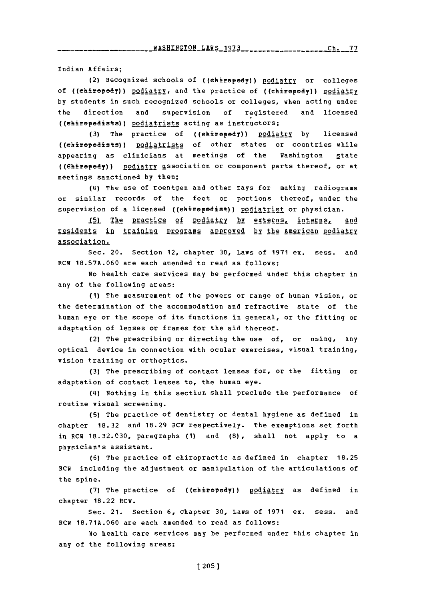Indian Affairs;

(2) Recognized schools of ((chiropody)) podiatry or colleges of ((ehiropody)) podiatry, and the practice of ((chiropody)) podiatry **by** students in such recognized schools or colleges, when acting under the direction and supervision **of** registered and licensed ((ehirapadists)) podiatrists acting as instructors;

(3) The practice of ((chiropody)) podiatry by licensed ((chiropodists)) podiatrists of other states or countries while appearing as clinicians at meetings of the Washington state ((ehiropody)) podiatry association or component parts thereof, or at meetings sanctioned **by** them;

(4) The use of roentgen and other rays for making radiograms or similar records of the feet or portions thereof, under the supervision of a licensed ((ehiropodist)) podiatrist or physician.

15) The practice of podiatry by externs, interns,  $and$ residents in training **Programs approved by the American podiatry** association.

Sec. 20. Section 12, chapter **30,** Laws of **1971** ex. sess. and RCW **18.57A.060** are each amended to read as follows:

No health care services may be performed under this chapter in any of the following areas:

**(1)** The measurement of the powers or range of human vision, or the determination of the accommodation and refractive state of the human eye or the scope of its functions in general, or the fitting or adaptation of lenses or frames for the aid thereof.

(2) The prescribing or directing the use of, or using, any optical device in connection with ocular exercises, visual training, vision training or orthoptics.

**(3)** The prescribing of contact lenses for, or the fitting or adaptation of contact lenses to, the human eye.

(4) Nothing in this section shall preclude the performance of routine visual screening.

**(5)** The practice of dentistry or dental hygiene as defined in chapter **18.32** and **18.29** ECW respectively. The exemptions set forth in RCW **18.32.030,** paragraphs **(1)** and **(8),** shall not apply to a physician's assistant.

**(6)** The practice of chiropractic as defined in chapter **18.25** RCW including the adjustment or manipulation of the articulations of the spine.

(7) The practice of ((chiropody)) podiatry as defined in chapter 18.22 RCW.

Sec. 21. Section **6,** chapter **30,** Laws of **1971** ex. sess. and RCW **18.71A.060** are each amended to read as follows:

No health care services may be performed under this chapter in any of the following areas: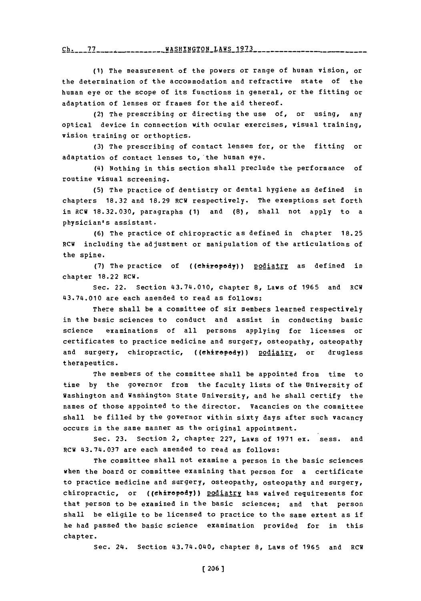**v-h \* --- - ---------------** ~q~

**(1)** The measurement of the powers or range of human vision, or the determination of the accommodation and refractive state of the human eye or the scope of its functions in general, or the fitting or adaptation of lenses or frames for the aid thereof.

(2) The prescribing or directing the use of, or using, any optical device in connection with ocular exercises, visual training, vision training or orthoptics.

**(3)** The prescribing of contact lenses for, or the fitting or adaptation of contact lenses to,'the human eye.

(4) Nothing in this section shall preclude the performance of routine visual screening.

**(5)** The practice of dentistry or dental hygiene as defined in chapters **18.32** and **18.29** RCW respectively. The exemptions set forth in RCW **18.32.030,** paragraphs **(1)** and **(8),** shall not apply to a physician's assistant.

**(6)** The practice of chiropractic as defined in chapter **18.25** RCW including the adjustment or manipulation of the articulations of the spine.

(7) The practice of ((chiropody)) <u>podiatry</u> as defined in chapter 18.22 RCW.

Sec. 22. Section 43.74.010, chapter **8,** Laws of **1965** and RCW 43.74.010 are each amended to read as follows:

There shall be a committee of six members learned respectively in the basic sciences to conduct and assist in conducting basic science examinations of all persons applying for licenses or certificates to practice medicine and surgery, osteopathy, osteopathy and surgery, chiropractic, ((ehiropody)) podiatry, or drugless therapeutics.

The members of the committee shall be appointed from time to time **by** the governor from the faculty lists of the University of Washington and Washington State University, and he shall certify the names of those appointed to the director. Vacancies on the committee shall be filled **by** the governor within sixty days after such vacancy occurs in the same manner as the original appointment.

Sec. **23.** Section 2, chapter **227,** Laws of **1971** ex. sess. and RCW 43.74.037 are each amended to read as follows:

The committee shall not examine a person in the basic sciences when the board or committee examining that person for a certificate to practice medicine and surgery, osteopathy, osteopathy and surgery, chiropractic, or ((chiropody)) podiatry has waived requirements for that person to be examined in the basic sciences; and that person shall be eligile to be licensed to practice to the same extent as if he had passed the basic science examination provided for in this chapter.

Sec. 24. Section 43.74.040, chapter **8,** Laws **of 1965** and RCW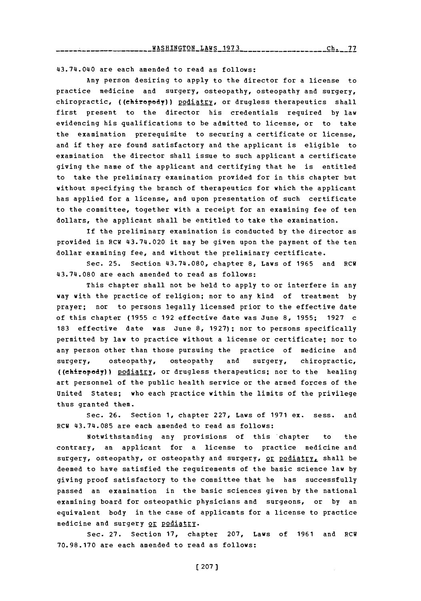43.74.040 are each amended to read as follows:

Any person desiring to apply to the director for a license to practice medicine and surgery, osteopathy, osteopathy and surgery, chiropractic, ((chiropody)) podiatry, or drugless therapeutics shall first present to the director his credentials required **by** law evidencing his qualifications to be admitted to license, or to take the examination prerequisite to securing a certificate or license, and if they are found satisfactory and the applicant is eligible to examination the director shall issue to such applicant a certificate giving the name of the applicant and certifying that he is entitled to take the preliminary examination provided for in this chapter but without specifying the branch of therapeutics for which the applicant has applied for a license, and upon presentation of such certificate to the committee, together with a receipt for an examining fee of ten dollars, the applicant shall be entitled to take the examination.

If the preliminary examination is conducted **by** the director as provided in RCW 43.74.020 it may be given upon the payment of the ten dollar examining fee, and without the preliminary certificate.

Sec. **25.** Section 443.74.080, chapter **8,** Laws of **1965** and RCW 43.74.080 are each amended to read as follows:

This chapter shall not be held to apply to or interfere in any way with the practice of religion; nor to any kind of treatment **by** prayer; nor to persons legally licensed prior to the effective date of this chapter **(1955** c **192** effective date was June **8, 1955; 1927** c **183** effective date was June **8, 1927);** nor to persons specifically permitted **by** law to practice without a license or certificate; nor to any person other than those pursuing the practice of medicine and surgery, osteopathy, osteopathy and surgery, chiropractic, ((chiropody)) podiatry, or drugless therapeutics; nor to the healing art personnel of the public health service or the armed forces of the United States; who each practice within the limits of the privilege thus granted them.

Sec. **26.** Section **1,** chapter **227,** Laws of **1971** ex. sess. and RCW 43.74.085 are each amended to read as follows:

Notwithstanding any provisions of this chapter to the contrary, an applicant for a license to practice medicine and surgery, osteopathy, or osteopathy and surgery, or podiatry, shall be deemed to have satisfied the requirements of the basic science law **by** giving proof satisfactory to the committee that he has successfully passed an examination in the basic sciences given **by** the national examining board for osteopathic physicians and surgeons, or **by** an equivalent body in the case of applicants for a license to practice medicine and surgery or podiatry.

Sec. **27.** Section **17,** chapter **207,** Laws of **1961** and RCW **70.98.170** are each amended to read as follows: